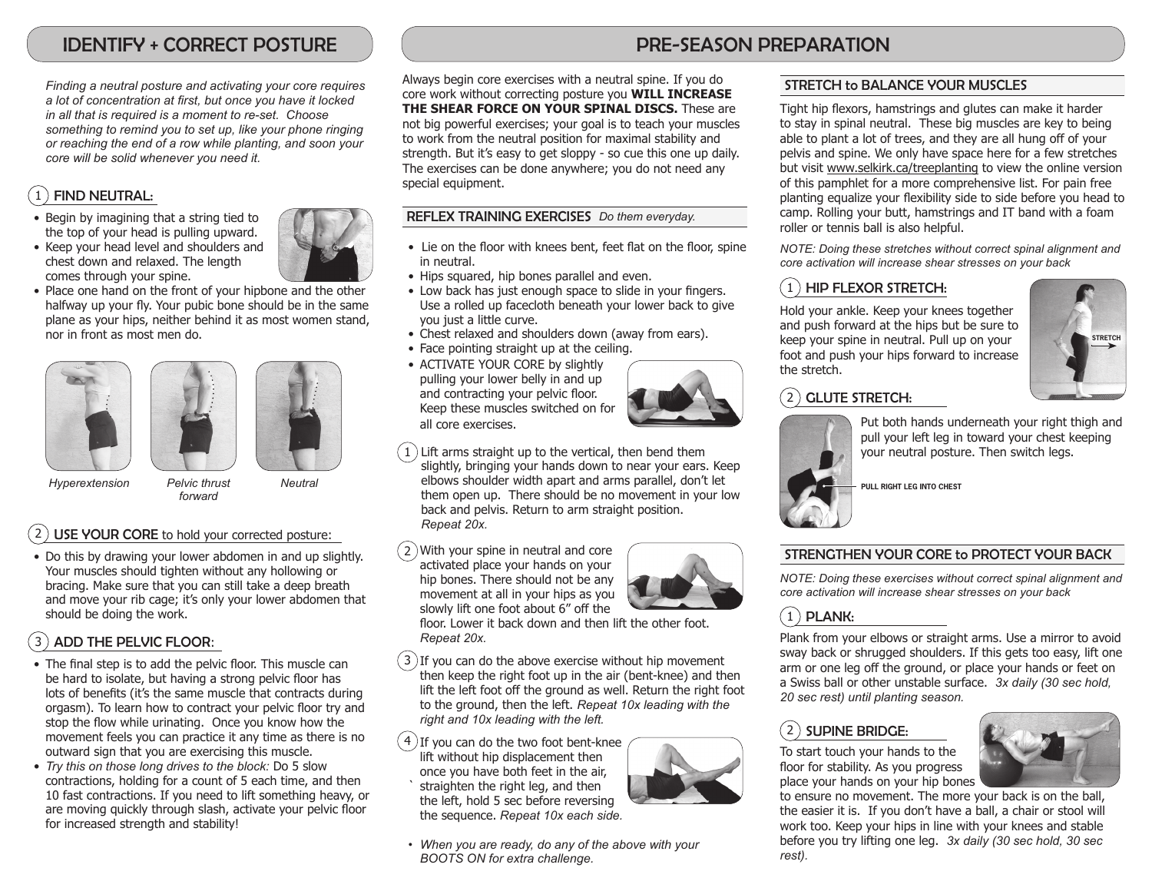# IDENTIFY + CORRECT POSTURE

*Finding a neutral posture and activating your core requires a lot of concentration at first, but once you have it locked in all that is required is a moment to re-set. Choose something to remind you to set up, like your phone ringing or reaching the end of a row while planting, and soon your core will be solid whenever you need it.*

## $1$ ) FIND NEUTRAL:

- Begin by imagining that a string tied to the top of your head is pulling upward.
- Keep your head level and shoulders and chest down and relaxed. The length comes through your spine.



• Place one hand on the front of your hipbone and the other halfway up your fly. Your pubic bone should be in the same plane as your hips, neither behind it as most women stand, nor in front as most men do.







*Hyperextension Pelvic thrust*

*Neutral*

## USE YOUR CORE to hold your corrected posture:

• Do this by drawing your lower abdomen in and up slightly. Your muscles should tighten without any hollowing or bracing. Make sure that you can still take a deep breath and move your rib cage; it's only your lower abdomen that should be doing the work.

*forward*

## 3 ADD THE PELVIC FLOOR:

- The final step is to add the pelvic floor. This muscle can be hard to isolate, but having a strong pelvic floor has lots of benefits (it's the same muscle that contracts during orgasm). To learn how to contract your pelvic floor try and stop the flow while urinating. Once you know how the movement feels you can practice it any time as there is no outward sign that you are exercising this muscle.
- *Try this on those long drives to the block:* Do 5 slow contractions, holding for a count of 5 each time, and then 10 fast contractions. If you need to lift something heavy, or are moving quickly through slash, activate your pelvic floor for increased strength and stability!

# PRE-SEASON PREPARATION

Always begin core exercises with a neutral spine. If you do core work without correcting posture you **WILL INCREASE THE SHEAR FORCE ON YOUR SPINAL DISCS.** These are not big powerful exercises; your goal is to teach your muscles to work from the neutral position for maximal stability and strength. But it's easy to get sloppy - so cue this one up daily. The exercises can be done anywhere; you do not need any special equipment.

#### REFLEX TRAINING EXERCISES *Do them everyday.*

- Lie on the floor with knees bent, feet flat on the floor, spine in neutral.
- Hips squared, hip bones parallel and even.
- Low back has just enough space to slide in your fingers. Use a rolled up facecloth beneath your lower back to give you just a little curve.
- Chest relaxed and shoulders down (away from ears).
- Face pointing straight up at the ceiling.
- ACTIVATE YOUR CORE by slightly pulling your lower belly in and up and contracting your pelvic floor. Keep these muscles switched on for all core exercises.



 $\overline{a}$ 1 Lift arms straight up to the vertical, then bend them slightly, bringing your hands down to near your ears. Keep elbows shoulder width apart and arms parallel, don't let them open up. There should be no movement in your low back and pelvis. Return to arm straight position. *Repeat 20x.*

2) With your spine in neutral and core activated place your hands on your hip bones. There should not be any movement at all in your hips as you slowly lift one foot about 6" off the floor. Lower it back down and then lift the other foot.

*Repeat 20x.*

3) If you can do the above exercise without hip movement then keep the right foot up in the air (bent-knee) and then lift the left foot off the ground as well. Return the right foot to the ground, then the left. *Repeat 10x leading with the right and 10x leading with the left.*

 $4$ ) If you can do the two foot bent-knee lift without hip displacement then once you have both feet in the air, straighten the right leg, and then the left, hold 5 sec before reversing the sequence. *Repeat 10x each side.*

*• When you are ready, do any of the above with your BOOTS ON for extra challenge.*

#### STRETCH to BALANCE YOUR MUSCLES

Tight hip flexors, hamstrings and glutes can make it harder to stay in spinal neutral. These big muscles are key to being able to plant a lot of trees, and they are all hung off of your pelvis and spine. We only have space here for a few stretches but visit www.selkirk.ca/treeplanting to view the online version of this pamphlet for a more comprehensive list. For pain free planting equalize your flexibility side to side before you head to camp. Rolling your butt, hamstrings and IT band with a foam roller or tennis ball is also helpful.

*NOTE: Doing these stretches without correct spinal alignment and core activation will increase shear stresses on your back*

# $(1)$  HIP FLEXOR STRETCH:

Hold your ankle. Keep your knees together and push forward at the hips but be sure to keep your spine in neutral. Pull up on your foot and push your hips forward to increase the stretch.



## $(2)$  GLUTE STRETCH:



Put both hands underneath your right thigh and pull your left leg in toward your chest keeping your neutral posture. Then switch legs.

**PULL RIGHT LEG INTO CHEST**

#### STRENGTHEN YOUR CORE to PROTECT YOUR BACK

*NOTE: Doing these exercises without correct spinal alignment and core activation will increase shear stresses on your back*

## $(1)$  PLANK:

Plank from your elbows or straight arms. Use a mirror to avoid sway back or shrugged shoulders. If this gets too easy, lift one arm or one leg off the ground, or place your hands or feet on a Swiss ball or other unstable surface. *3x daily (30 sec hold, 20 sec rest) until planting season.*

#### $(2)$  supine bridge:

To start touch your hands to the floor for stability. As you progress place your hands on your hip bones



to ensure no movement. The more your back is on the ball, the easier it is. If you don't have a ball, a chair or stool will work too. Keep your hips in line with your knees and stable before you try lifting one leg. *3x daily (30 sec hold, 30 sec rest).*